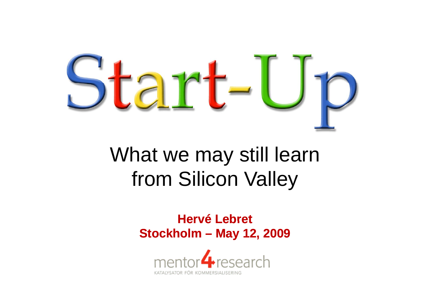

## What we may still learn from Silicon Valle y

**Hervé Lebret Stockholm – May 12, 2009**

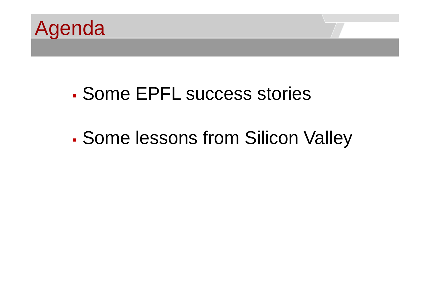

### Some EPFL success stories

#### P. Some lessons from Silicon Valley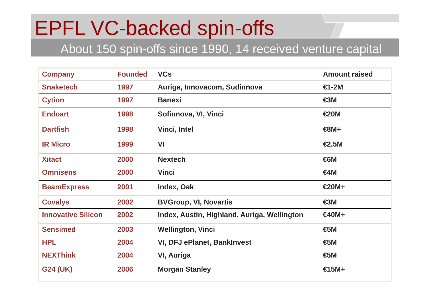## EPFL VC-backed spin-offs

#### About 150 spin-offs since 1990, 14 received venture capital

| <b>Company</b>            | <b>Founded</b> | <b>VCs</b>                                  | <b>Amount raised</b> |
|---------------------------|----------------|---------------------------------------------|----------------------|
| <b>Snaketech</b>          | 1997           | Auriga, Innovacom, Sudinnova                | $H-2M$               |
| <b>Cytion</b>             | 1997           | <b>Banexi</b>                               | €3M                  |
| <b>Endoart</b>            | 1998           | Sofinnova, VI, Vinci                        | $\bigotimes$ OM      |
| <b>Dartfish</b>           | 1998           | <b>Vinci, Intel</b>                         | $\bigoplus M +$      |
| <b>IR Micro</b>           | 1999           | VI                                          | $\epsilon$ 2.5M      |
| <b>Xitact</b>             | 2000           | <b>Nextech</b>                              | €6M                  |
| <b>Omnisens</b>           | 2000           | <b>Vinci</b>                                | $A$ M                |
| <b>BeamExpress</b>        | 2001           | Index, Oak                                  | $€20M+$              |
| <b>Covalys</b>            | 2002           | <b>BVGroup, VI, Novartis</b>                | $\bigcirc$ M         |
| <b>Innovative Silicon</b> | 2002           | Index, Austin, Highland, Auriga, Wellington | $640M +$             |
| <b>Sensimed</b>           | 2003           | <b>Wellington, Vinci</b>                    | €5M                  |
| <b>HPL</b>                | 2004           | <b>VI, DFJ ePlanet, BankInvest</b>          | €5M                  |
| <b>NEXThink</b>           | 2004           | <b>VI, Auriga</b>                           | €5M                  |
| <b>G24 (UK)</b>           | 2006           | <b>Morgan Stanley</b>                       | $\in$ 5M+            |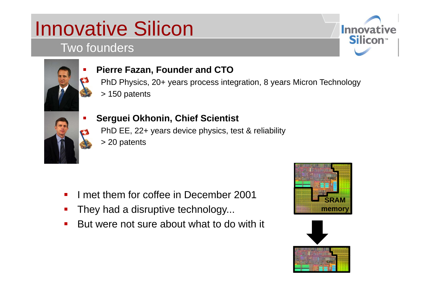# Innovative Silicon

### Two founders





#### **Pierre Fazan, Founder and CTO**

Pierre Fazan, Founder and CTO<br>
PhD Physics, 20+ years process integration, 8 years Micron Technology > 150 patents



#### **Serguei Okhonin Chief Scientist Okhonin,**

PhD EE, 22+ years device physics, test & reliability

> 20 patents

- $\mathcal{L}_{\mathcal{A}}$ **I** met them for coffee in December 2001
- They had a disruptive technology...
- But were not sure about what to do with it  $\mathcal{L}(\mathcal{L})$



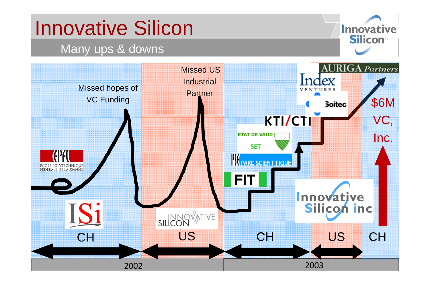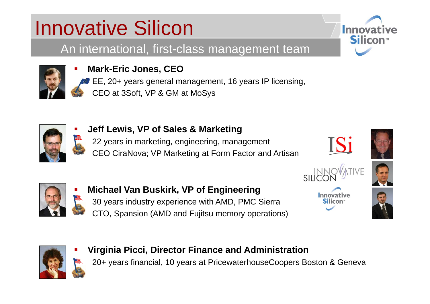# Innovative Silicon

An international, first-class management team



Г

Г

Г

Г

#### **Mark-Eric Jones, CEO**

EE, 20+ years general management, 16 years IP licensing, CEO at 3Soft, VP & GM at MoSys



#### **Jeff Lewis, VP of Sales & Marketing**

22 years in marketing, engineering, management CEO CiraNova; VP Marketing at Form Factor and Artisan







**■ Michael Van Buskirk, VP of Engineering** 30 years industry experience with AMD, PMC Sierra CTO, Spansion (AMD and Fujitsu memory operations)







#### **Virginia Picci, Director Finance and Administration** 20+ years financial, 10 years at PricewaterhouseCoopers Boston & Geneva

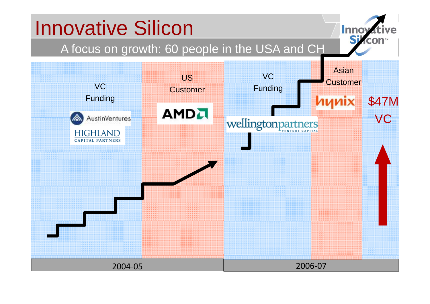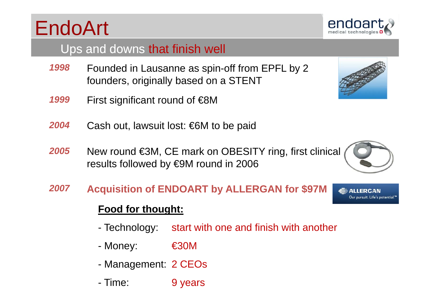# EndoArt

### Ups and downs that finish well

- Founded in Lausanne as spin-off from EPFL by 2 founders, originally based on a STENT *1998*
- *1999*First significant round of €8M
- *2004*Cash out, lawsuit lost: €6M to be paid
- *2005***5** New round €3M, CE mark on OBESITY ring, first clinical results followed by €9M round in 2006
- *2007***A i iti f ENDOART b ALLERGAN f \$97M Acquisition of by for**

### **Food for thought:**

- -Technology: start with one and finish with another
- Money: €30M
- -Management: 2 CEOs
- Time: 9 years







Our pursuit. Life's potential.™

**ALLERGAN** 

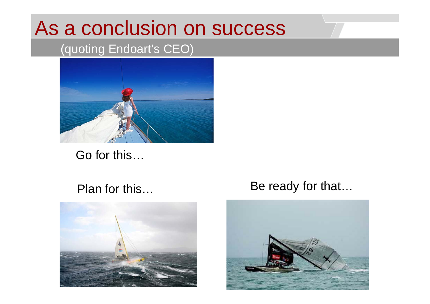### As a conclusion on success

### (quoting Endoart's CEO)



Go for this…

#### Plan for this…



### is... Be ready for that...

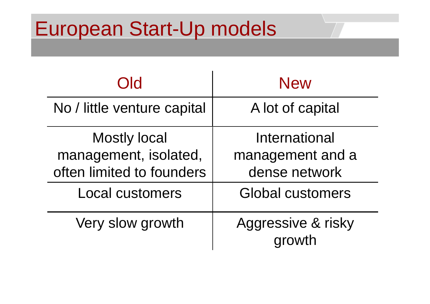### European Start-Up models

| Old                                                                       | <b>New</b>                                         |  |
|---------------------------------------------------------------------------|----------------------------------------------------|--|
| No / little venture capital                                               | A lot of capital                                   |  |
| <b>Mostly local</b><br>management, isolated,<br>often limited to founders | International<br>management and a<br>dense network |  |
| <b>Local customers</b>                                                    | <b>Global customers</b>                            |  |
| Very slow growth                                                          | Aggressive & risky<br>growth                       |  |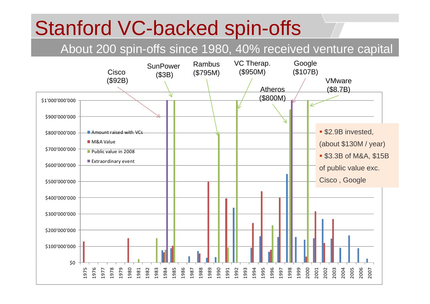## Stanford VC-backed spin-offs

#### About 200 spin-offs since 1980, 40% received venture capital

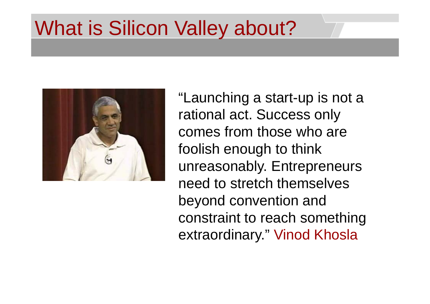## What is Silicon Valley about?

![](_page_11_Picture_1.jpeg)

"Launching a start-up is not a rational act. Success only comes from those who are foolish enough to think unreasonably. Entrepreneurs need to stretch themselves beyond convention and constraint to reach something extraordinary." Vinod Khosla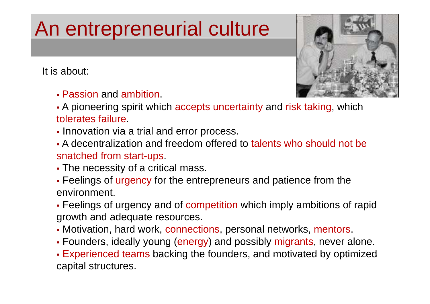# An entrepreneurial culture

It is about:

Passion and ambition.

![](_page_12_Picture_3.jpeg)

- **-** A pioneering spirit which accepts uncertainty and risk taking, which tolerates failure
- Innovation via a trial and error process.
- A decentralization and freedom offered to talents who should not be snatched from start-ups.
- The necessity of a critical mass.
- **Feelings of urgency for the entrepreneurs and patience from the** environment.
- Feelings of urgency and of competition which imply ambitions of rapid growth and adequate resources.
- Motivation, hard work, connections, personal networks, mentors.
- Founders, ideally young (energy) and possibly migrants, never alone.

Experienced teams backing the founders, and motivated by optimized capital structures.